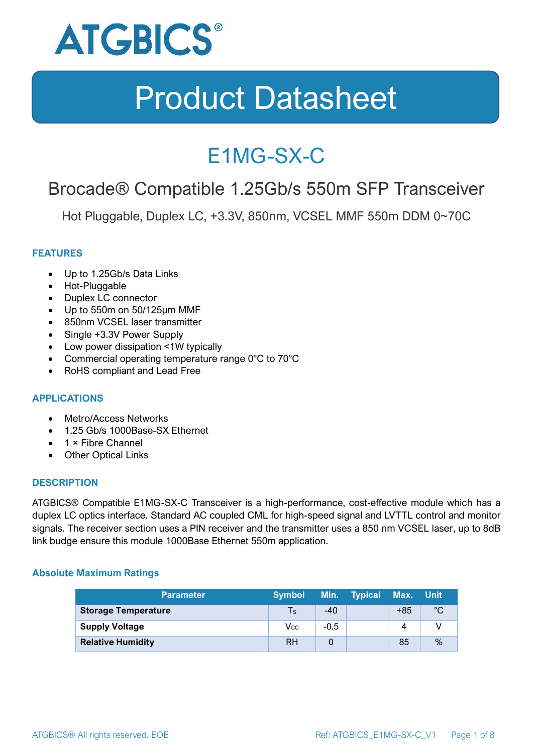

### E1MG-SX-C

### Brocade® Compatible 1.25Gb/s 550m SFP Transceiver

Hot Pluggable, Duplex LC, +3.3V, 850nm, VCSEL MMF 550m DDM 0~70C

#### **FEATURES**

- Up to 1.25Gb/s Data Links
- Hot-Pluggable
- Duplex LC connector
- Up to 550m on 50/125μm MMF
- 850nm VCSEL laser transmitter
- Single +3.3V Power Supply
- Low power dissipation <1W typically
- Commercial operating temperature range 0°C to 70°C
- RoHS compliant and Lead Free

#### **APPLICATIONS**

- Metro/Access Networks
- 1.25 Gb/s 1000Base-SX Ethernet
- 1 × Fibre Channel
- Other Optical Links

#### **DESCRIPTION**

ATGBICS® Compatible E1MG-SX-C Transceiver is a high-performance, cost-effective module which has a duplex LC optics interface. Standard AC coupled CML for high-speed signal and LVTTL control and monitor signals. The receiver section uses a PIN receiver and the transmitter uses a 850 nm VCSEL laser, up to 8dB link budge ensure this module 1000Base Ethernet 550m application.

#### **Absolute Maximum Ratings**

| <b>Parameter</b>           | <b>Symbol</b> |        | Min. Typical | Max. Unit |      |
|----------------------------|---------------|--------|--------------|-----------|------|
| <b>Storage Temperature</b> | $\mathsf{Ts}$ | $-40$  |              | $+85$     | °C   |
| <b>Supply Voltage</b>      | Vcc           | $-0.5$ |              | 4         |      |
| <b>Relative Humidity</b>   | <b>RH</b>     |        |              | 85        | $\%$ |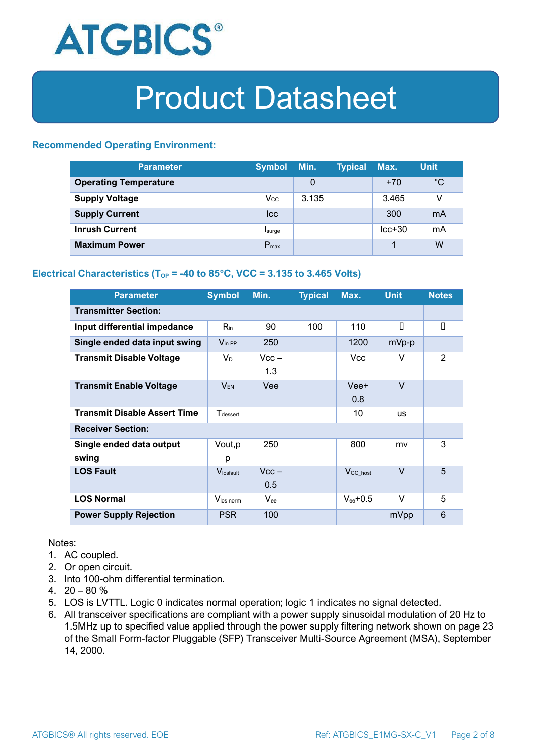

#### **Recommended Operating Environment:**

| <b>Parameter</b>             | <b>Symbol</b>    | Min.  | <b>Typical</b> | Max.     | <b>Unit</b> |
|------------------------------|------------------|-------|----------------|----------|-------------|
| <b>Operating Temperature</b> |                  | 0     |                | $+70$    | $^{\circ}C$ |
| <b>Supply Voltage</b>        | $V_{\rm CC}$     | 3.135 |                | 3.465    | v           |
| <b>Supply Current</b>        | <b>Icc</b>       |       |                | 300      | mA          |
| <b>Inrush Current</b>        | Isurge           |       |                | $lcc+30$ | mA          |
| <b>Maximum Power</b>         | $P_{\text{max}}$ |       |                |          | W           |

#### **Electrical Characteristics** ( $T_{OP}$  = -40 to 85°C, VCC = 3.135 to 3.465 Volts)

| <b>Parameter</b>                    | <b>Symbol</b>         | Min.           | <b>Typical</b> | Max.                  | <b>Unit</b> | <b>Notes</b> |
|-------------------------------------|-----------------------|----------------|----------------|-----------------------|-------------|--------------|
| <b>Transmitter Section:</b>         |                       |                |                |                       |             |              |
| Input differential impedance        | $R_{in}$              | 90             | 100            | 110                   | П           | $\Box$       |
| Single ended data input swing       | $V_{\text{in PP}}$    | 250            |                | 1200                  | mVp-p       |              |
| <b>Transmit Disable Voltage</b>     | $V_D$                 | $Vcc -$<br>1.3 |                | Vcc.                  | v           | 2            |
| <b>Transmit Enable Voltage</b>      | <b>VEN</b>            | Vee            |                | Vee+<br>0.8           | $\vee$      |              |
| <b>Transmit Disable Assert Time</b> | $T_{\rm dessert}$     |                |                | 10                    | <b>us</b>   |              |
| <b>Receiver Section:</b>            |                       |                |                |                       |             |              |
| Single ended data output<br>swing   | Vout, p<br>р          | 250            |                | 800                   | mv          | 3            |
| <b>LOS Fault</b>                    | $V_{\text{losfault}}$ | $Vcc -$<br>0.5 |                | $V_{\text{CC\_host}}$ | $\vee$      | 5            |
| <b>LOS Normal</b>                   | Vlos norm             | $V_{ee}$       |                | $V_{ee}$ +0.5         | v           | 5            |
| <b>Power Supply Rejection</b>       | <b>PSR</b>            | 100            |                |                       | mVpp        | 6            |

Notes:

- 1. AC coupled.
- 2. Or open circuit.
- 3. Into 100-ohm differential termination.
- 4.  $20 80 \%$
- 5. LOS is LVTTL. Logic 0 indicates normal operation; logic 1 indicates no signal detected.
- 6. All transceiver specifications are compliant with a power supply sinusoidal modulation of 20 Hz to 1.5MHz up to specified value applied through the power supply filtering network shown on page 23 of the Small Form-factor Pluggable (SFP) Transceiver Multi-Source Agreement (MSA), September 14, 2000.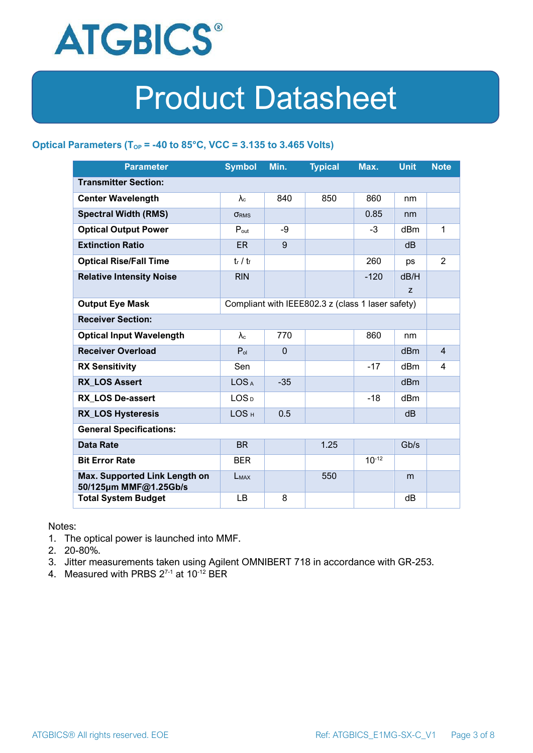

#### **Optical Parameters** ( $T_{OP}$  = -40 to 85°C, VCC = 3.135 to 3.465 Volts)

| <b>Parameter</b>                                                            | <b>Symbol</b>     | Min.         | <b>Typical</b> | Max.       | <b>Unit</b>     | <b>Note</b>    |
|-----------------------------------------------------------------------------|-------------------|--------------|----------------|------------|-----------------|----------------|
| <b>Transmitter Section:</b>                                                 |                   |              |                |            |                 |                |
| <b>Center Wavelength</b>                                                    | $\lambda_c$       | 840          | 850            | 860        | nm              |                |
| <b>Spectral Width (RMS)</b>                                                 | <b>ORMS</b>       |              |                | 0.85       | nm              |                |
| <b>Optical Output Power</b>                                                 | $P_{\text{out}}$  | -9           |                | $-3$       | dBm             | 1              |
| <b>Extinction Ratio</b>                                                     | <b>ER</b>         | 9            |                |            | dB              |                |
| <b>Optical Rise/Fall Time</b>                                               | $t_r / t_f$       |              |                | 260        | ps              | $\overline{2}$ |
| <b>Relative Intensity Noise</b>                                             | <b>RIN</b>        |              |                | $-120$     | dB/H            |                |
|                                                                             |                   |              |                |            | Z               |                |
| <b>Output Eye Mask</b><br>Compliant with IEEE802.3 z (class 1 laser safety) |                   |              |                |            |                 |                |
| <b>Receiver Section:</b>                                                    |                   |              |                |            |                 |                |
| <b>Optical Input Wavelength</b>                                             | $\lambda_{\rm c}$ | 770          |                | 860        | nm              |                |
| <b>Receiver Overload</b>                                                    | $P_{ol}$          | $\mathbf{0}$ |                |            | dBm             | $\overline{4}$ |
| <b>RX Sensitivity</b>                                                       | Sen               |              |                | $-17$      | dBm             | 4              |
| <b>RX LOS Assert</b>                                                        | LOS <sub>A</sub>  | $-35$        |                |            | d <sub>Bm</sub> |                |
| <b>RX LOS De-assert</b>                                                     | LOS <sub>D</sub>  |              |                | $-18$      | dB <sub>m</sub> |                |
| <b>RX_LOS Hysteresis</b>                                                    | LOS <sub>H</sub>  | 0.5          |                |            | d <sub>B</sub>  |                |
| <b>General Specifications:</b>                                              |                   |              |                |            |                 |                |
| <b>Data Rate</b>                                                            | <b>BR</b>         |              | 1.25           |            | Gb/s            |                |
| <b>Bit Error Rate</b>                                                       | <b>BER</b>        |              |                | $10^{-12}$ |                 |                |
| Max. Supported Link Length on<br>50/125µm MMF@1.25Gb/s                      | LMAX              |              | 550            |            | m               |                |
| <b>Total System Budget</b>                                                  | LB                | 8            |                |            | dB              |                |

Notes:

- 1. The optical power is launched into MMF.
- 2. 20-80%.
- 3. Jitter measurements taken using Agilent OMNIBERT 718 in accordance with GR-253.
- 4. Measured with PRBS  $2^{7-1}$  at 10<sup>-12</sup> BER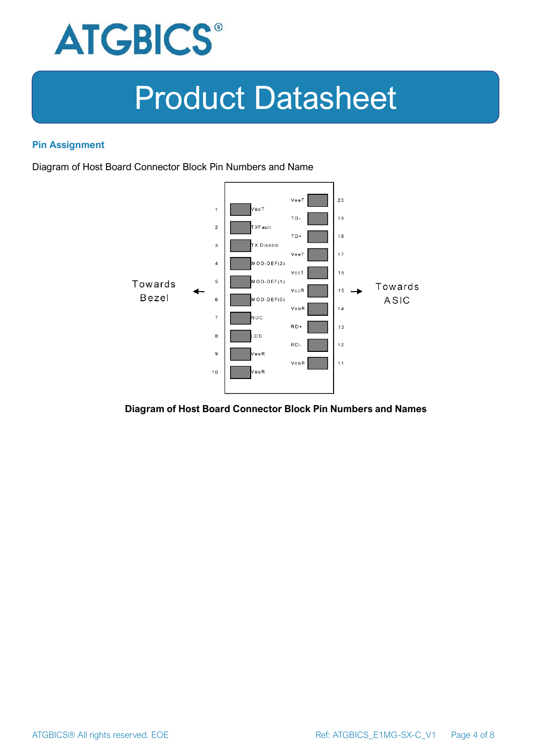

#### **Pin Assignment**

Diagram of Host Board Connector Block Pin Numbers and Name



#### **Diagram of Host Board Connector Block Pin Numbers and Names**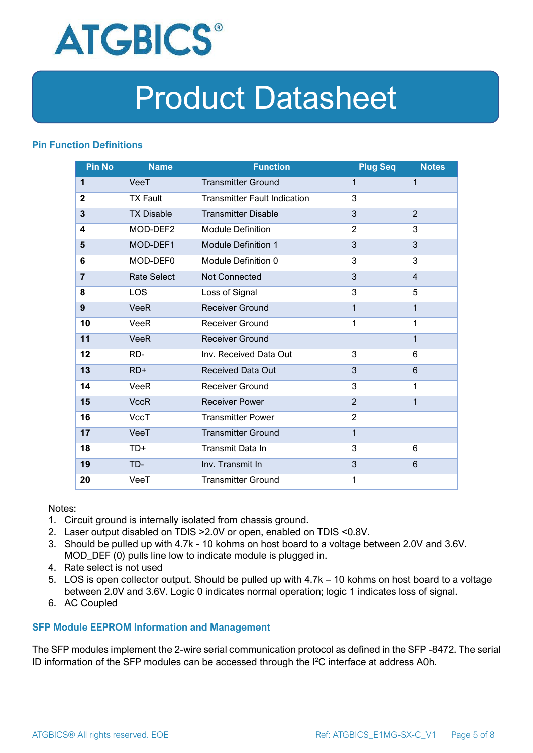

#### **Pin Function Definitions**

| <b>Pin No</b>  | <b>Name</b>        | <b>Function</b>                     | <b>Plug Seq</b> | <b>Notes</b>   |
|----------------|--------------------|-------------------------------------|-----------------|----------------|
| 1              | VeeT               | <b>Transmitter Ground</b>           | $\mathbf 1$     | $\mathbf{1}$   |
| $\overline{2}$ | <b>TX Fault</b>    | <b>Transmitter Fault Indication</b> | 3               |                |
| 3              | <b>TX Disable</b>  | <b>Transmitter Disable</b>          | 3               | $\overline{2}$ |
| 4              | MOD-DEF2           | <b>Module Definition</b>            | $\overline{2}$  | 3              |
| 5              | MOD-DEF1           | <b>Module Definition 1</b>          | 3               | 3              |
| 6              | MOD-DEF0           | Module Definition 0                 | 3               | 3              |
| $\overline{7}$ | <b>Rate Select</b> | <b>Not Connected</b>                | 3               | $\overline{4}$ |
| 8              | <b>LOS</b>         | Loss of Signal                      | 3               | 5              |
| 9              | <b>VeeR</b>        | <b>Receiver Ground</b>              | 1               | $\mathbf{1}$   |
| 10             | VeeR               | <b>Receiver Ground</b>              | 1               | 1              |
| 11             | <b>VeeR</b>        | <b>Receiver Ground</b>              |                 | $\mathbf{1}$   |
| 12             | RD-                | Inv. Received Data Out              | 3               | 6              |
| 13             | $RD+$              | <b>Received Data Out</b>            | 3               | 6              |
| 14             | VeeR               | Receiver Ground                     | 3               | 1              |
| 15             | <b>VccR</b>        | <b>Receiver Power</b>               | $\overline{2}$  | $\mathbf{1}$   |
| 16             | <b>VccT</b>        | <b>Transmitter Power</b>            | $\overline{2}$  |                |
| 17             | VeeT               | <b>Transmitter Ground</b>           | $\mathbf{1}$    |                |
| 18             | $TD+$              | Transmit Data In                    | 3               | 6              |
| 19             | TD-                | Inv. Transmit In                    | 3               | 6              |
| 20             | VeeT               | <b>Transmitter Ground</b>           | 1               |                |

Notes:

- 1. Circuit ground is internally isolated from chassis ground.
- 2. Laser output disabled on TDIS >2.0V or open, enabled on TDIS <0.8V.
- 3. Should be pulled up with 4.7k 10 kohms on host board to a voltage between 2.0V and 3.6V. MOD\_DEF (0) pulls line low to indicate module is plugged in.
- 4. Rate select is not used
- 5. LOS is open collector output. Should be pulled up with 4.7k 10 kohms on host board to a voltage between 2.0V and 3.6V. Logic 0 indicates normal operation; logic 1 indicates loss of signal.
- 6. AC Coupled

#### **SFP Module EEPROM Information and Management**

The SFP modules implement the 2-wire serial communication protocol as defined in the SFP -8472. The serial ID information of the SFP modules can be accessed through the I2C interface at address A0h.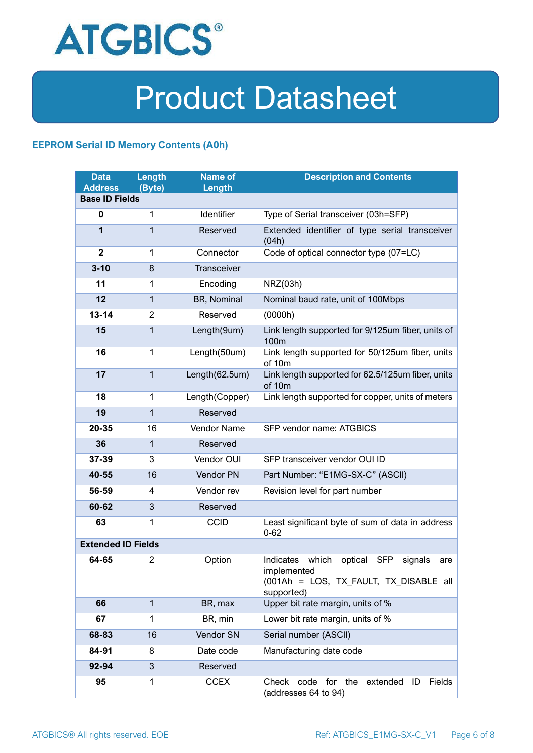

#### **EEPROM Serial ID Memory Contents (A0h)**

| <b>Data</b><br><b>Address</b> | Length<br>(Byte) | <b>Name of</b><br>Length | <b>Description and Contents</b>                                                                                                   |  |
|-------------------------------|------------------|--------------------------|-----------------------------------------------------------------------------------------------------------------------------------|--|
| <b>Base ID Fields</b>         |                  |                          |                                                                                                                                   |  |
| $\mathbf 0$                   | 1                | Identifier               | Type of Serial transceiver (03h=SFP)                                                                                              |  |
| 1                             | 1                | Reserved                 | Extended identifier of type serial transceiver<br>(04h)                                                                           |  |
| $\mathbf{2}$                  | 1                | Connector                | Code of optical connector type (07=LC)                                                                                            |  |
| $3 - 10$                      | 8                | Transceiver              |                                                                                                                                   |  |
| 11                            | 1                | Encoding                 | NRZ(03h)                                                                                                                          |  |
| 12                            | 1                | BR, Nominal              | Nominal baud rate, unit of 100Mbps                                                                                                |  |
| $13 - 14$                     | $\overline{2}$   | Reserved                 | (0000h)                                                                                                                           |  |
| 15                            | 1                | Length(9um)              | Link length supported for 9/125um fiber, units of<br>100m                                                                         |  |
| 16                            | $\mathbf 1$      | Length(50um)             | Link length supported for 50/125um fiber, units<br>of 10m                                                                         |  |
| 17                            | $\mathbf{1}$     | Length(62.5um)           | Link length supported for 62.5/125um fiber, units<br>of 10m                                                                       |  |
| 18                            | $\mathbf{1}$     | Length(Copper)           | Link length supported for copper, units of meters                                                                                 |  |
| 19                            | $\mathbf{1}$     | Reserved                 |                                                                                                                                   |  |
| 20-35                         | 16               | Vendor Name              | SFP vendor name: ATGBICS                                                                                                          |  |
| 36                            | 1                | Reserved                 |                                                                                                                                   |  |
| 37-39                         | 3                | Vendor OUI               | SFP transceiver vendor OUI ID                                                                                                     |  |
| 40-55                         | 16               | Vendor PN                | Part Number: "E1MG-SX-C" (ASCII)                                                                                                  |  |
| 56-59                         | 4                | Vendor rev               | Revision level for part number                                                                                                    |  |
| 60-62                         | 3                | Reserved                 |                                                                                                                                   |  |
| 63                            | 1                | <b>CCID</b>              | Least significant byte of sum of data in address<br>$0 - 62$                                                                      |  |
| <b>Extended ID Fields</b>     |                  |                          |                                                                                                                                   |  |
| 64-65                         | $\overline{2}$   | Option                   | Indicates which<br>optical<br><b>SFP</b><br>signals<br>are<br>implemented<br>(001Ah = LOS, TX_FAULT, TX_DISABLE all<br>supported) |  |
| 66                            | $\mathbf{1}$     | BR, max                  | Upper bit rate margin, units of %                                                                                                 |  |
| 67                            | 1                | BR, min                  | Lower bit rate margin, units of %                                                                                                 |  |
| 68-83                         | 16               | Vendor SN                | Serial number (ASCII)                                                                                                             |  |
| 84-91                         | 8                | Date code                | Manufacturing date code                                                                                                           |  |
| 92-94                         | 3                | Reserved                 |                                                                                                                                   |  |
| 95                            | 1                | <b>CCEX</b>              | Check code for the<br>Fields<br>extended<br>ID<br>(addresses 64 to 94)                                                            |  |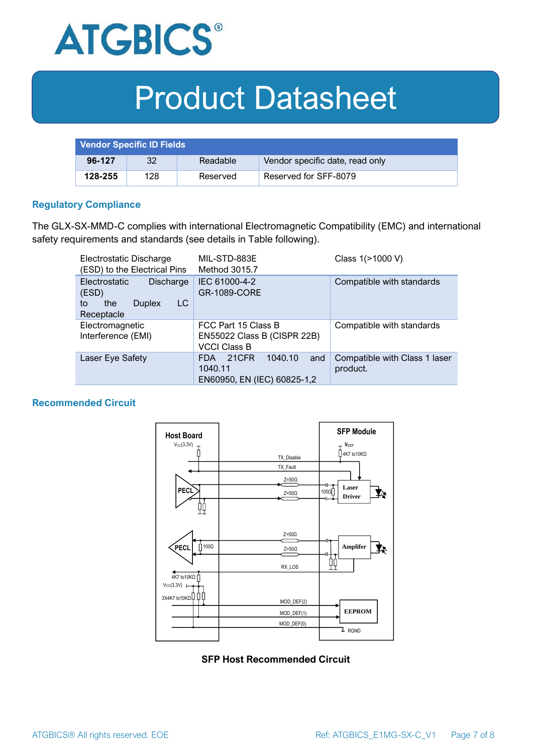

| <b>Vendor Specific ID Fields</b> |     |          |                                 |
|----------------------------------|-----|----------|---------------------------------|
| 96-127                           | 32  | Readable | Vendor specific date, read only |
| 128-255                          | 128 | Reserved | Reserved for SFF-8079           |

#### **Regulatory Compliance**

The GLX-SX-MMD-C complies with international Electromagnetic Compatibility (EMC) and international safety requirements and standards (see details in Table following).

| Electrostatic Discharge<br>(ESD) to the Electrical Pins                                      | MIL-STD-883E<br>Method 3015.7                                                   | Class 1(>1000 V)                          |  |
|----------------------------------------------------------------------------------------------|---------------------------------------------------------------------------------|-------------------------------------------|--|
| <b>Electrostatic</b><br>Discharge<br>(ESD)<br>LC<br>the<br><b>Duplex</b><br>to<br>Receptacle | IEC 61000-4-2<br><b>GR-1089-CORE</b>                                            | Compatible with standards                 |  |
| Electromagnetic<br>Interference (EMI)                                                        | FCC Part 15 Class B<br>EN55022 Class B (CISPR 22B)<br><b>VCCI Class B</b>       | Compatible with standards                 |  |
| Laser Eye Safety                                                                             | 1040.10<br>21CFR<br>and<br><b>FDA</b><br>1040.11<br>EN60950, EN (IEC) 60825-1,2 | Compatible with Class 1 laser<br>product. |  |

#### **Recommended Circuit**



**SFP Host Recommended Circuit**